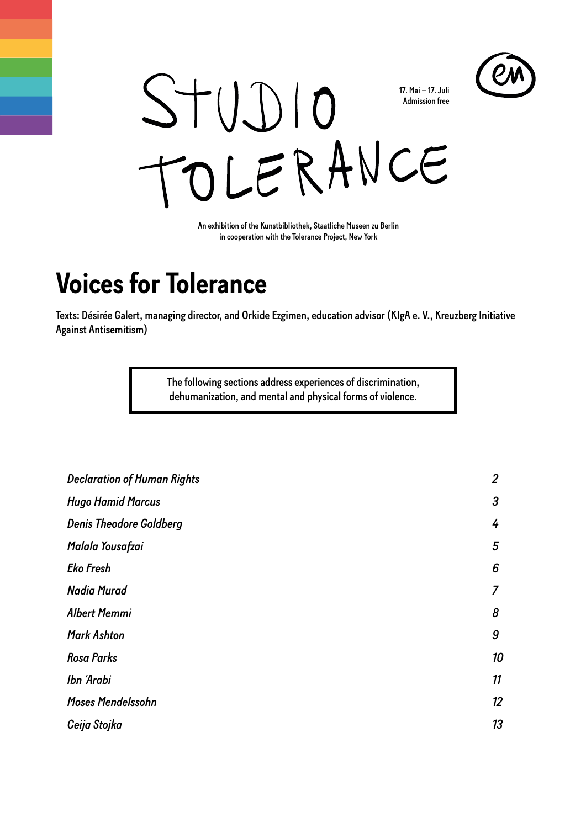



An exhibition of the Kunstbibliothek, Staatliche Museen zu Berlin in cooperation with the Tolerance Project, New York

# **Voices for Tolerance**

Texts: Désirée Galert, managing director, and Orkide Ezgimen, education advisor (KIgA e. V., Kreuzberg Initiative Against Antisemitism)

> The following sections address experiences of discrimination, dehumanization, and mental and physical forms of violence.

| <b>Declaration of Human Rights</b> | $\overline{2}$ |
|------------------------------------|----------------|
| <b>Hugo Hamid Marcus</b>           | 3              |
| <b>Denis Theodore Goldberg</b>     | 4              |
| Malala Yousafzai                   | 5              |
| <b>Eko Fresh</b>                   | 6              |
| <b>Nadia Murad</b>                 |                |
| <b>Albert Memmi</b>                | 8              |
| <b>Mark Ashton</b>                 | 9              |
| <b>Rosa Parks</b>                  | 10             |
| Ibn 'Arabi                         | 11             |
| Moses Mendelssohn                  | 12             |
| Ceija Stojka                       | 13             |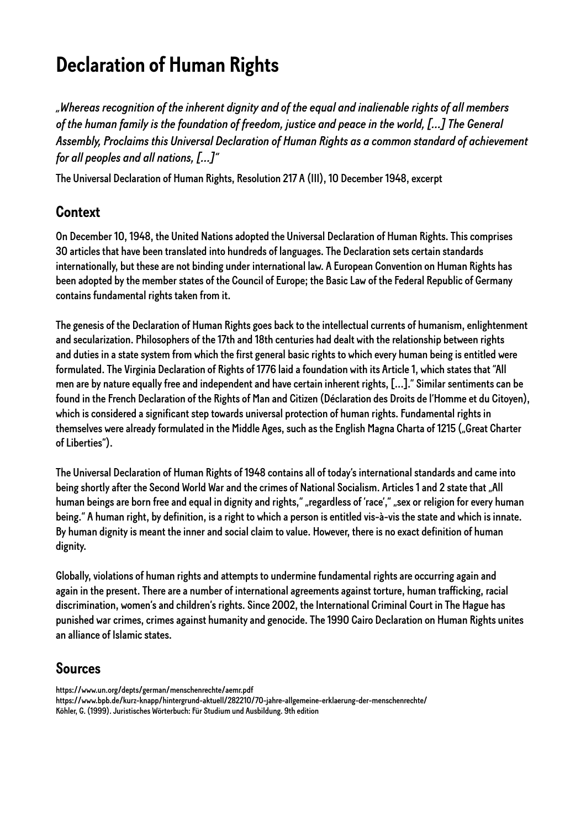# <span id="page-1-0"></span>**Declaration of Human Rights**

*"Whereas recognition of the inherent dignity and of the equal and inalienable rights of all members of the human family is the foundation of freedom, justice and peace in the world, […] The General Assembly, Proclaims this Universal Declaration of Human Rights as a common standard of achievement for all peoples and all nations, […]"*

The Universal Declaration of Human Rights, Resolution 217 A (III), 10 December 1948, excerpt

### **Context**

On December 10, 1948, the United Nations adopted the Universal Declaration of Human Rights. This comprises 30 articles that have been translated into hundreds of languages. The Declaration sets certain standards internationally, but these are not binding under international law. A European Convention on Human Rights has been adopted by the member states of the Council of Europe; the Basic Law of the Federal Republic of Germany contains fundamental rights taken from it.

The genesis of the Declaration of Human Rights goes back to the intellectual currents of humanism, enlightenment and secularization. Philosophers of the 17th and 18th centuries had dealt with the relationship between rights and duties in a state system from which the first general basic rights to which every human being is entitled were formulated. The Virginia Declaration of Rights of 1776 laid a foundation with its Article 1, which states that "All men are by nature equally free and independent and have certain inherent rights, [...]." Similar sentiments can be found in the French Declaration of the Rights of Man and Citizen (Déclaration des Droits de l'Homme et du Citoyen), which is considered a significant step towards universal protection of human rights. Fundamental rights in themselves were already formulated in the Middle Ages, such as the English Magna Charta of 1215 ("Great Charter of Liberties").

The Universal Declaration of Human Rights of 1948 contains all of today's international standards and came into being shortly after the Second World War and the crimes of National Socialism. Articles 1 and 2 state that "All human beings are born free and equal in dignity and rights," "regardless of 'race'," "sex or religion for every human being." A human right, by definition, is a right to which a person is entitled vis-à-vis the state and which is innate. By human dignity is meant the inner and social claim to value. However, there is no exact definition of human dignity.

Globally, violations of human rights and attempts to undermine fundamental rights are occurring again and again in the present. There are a number of international agreements against torture, human trafficking, racial discrimination, women's and children's rights. Since 2002, the International Criminal Court in The Hague has punished war crimes, crimes against humanity and genocide. The 1990 Cairo Declaration on Human Rights unites an alliance of Islamic states.

### **Sources**

https://www.un.org/depts/german/menschenrechte/aemr.pdf https://www.bpb.de/kurz-knapp/hintergrund-aktuell/282210/70-jahre-allgemeine-erklaerung-der-menschenrechte/ Köhler, G. (1999). Juristisches Wörterbuch: Für Studium und Ausbildung. 9th edition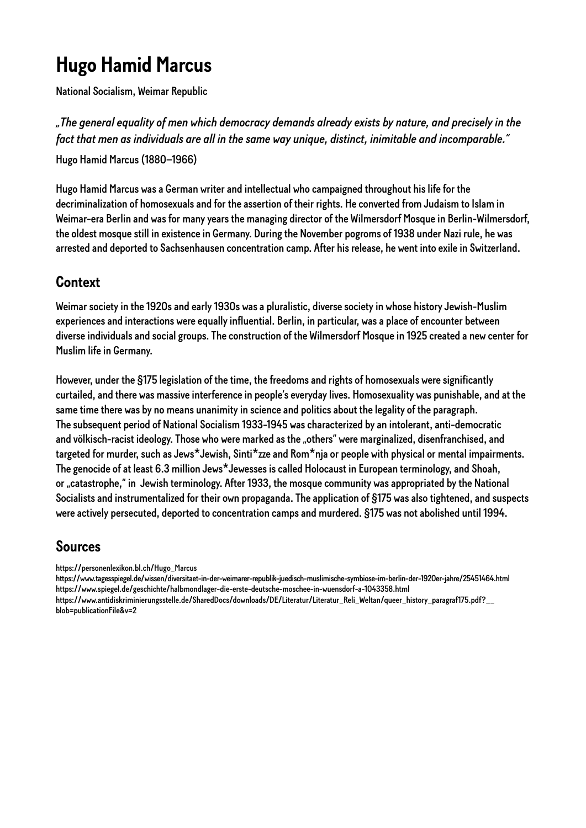# <span id="page-2-0"></span>**Hugo Hamid Marcus**

National Socialism, Weimar Republic

*"The general equality of men which democracy demands already exists by nature, and precisely in the fact that men as individuals are all in the same way unique, distinct, inimitable and incomparable."*  Hugo Hamid Marcus (1880–1966)

Hugo Hamid Marcus was a German writer and intellectual who campaigned throughout his life for the decriminalization of homosexuals and for the assertion of their rights. He converted from Judaism to Islam in Weimar-era Berlin and was for many years the managing director of the Wilmersdorf Mosque in Berlin-Wilmersdorf, the oldest mosque still in existence in Germany. During the November pogroms of 1938 under Nazi rule, he was arrested and deported to Sachsenhausen concentration camp. After his release, he went into exile in Switzerland.

# **Context**

Weimar society in the 1920s and early 1930s was a pluralistic, diverse society in whose history Jewish-Muslim experiences and interactions were equally influential. Berlin, in particular, was a place of encounter between diverse individuals and social groups. The construction of the Wilmersdorf Mosque in 1925 created a new center for Muslim life in Germany.

However, under the §175 legislation of the time, the freedoms and rights of homosexuals were significantly curtailed, and there was massive interference in people's everyday lives. Homosexuality was punishable, and at the same time there was by no means unanimity in science and politics about the legality of the paragraph. The subsequent period of National Socialism 1933-1945 was characterized by an intolerant, anti-democratic and völkisch-racist ideology. Those who were marked as the "others" were marginalized, disenfranchised, and targeted for murder, such as Jews\*Jewish, Sinti\*zze and Rom\*nja or people with physical or mental impairments. The genocide of at least 6.3 million Jews\*Jewesses is called Holocaust in European terminology, and Shoah, or "catastrophe," in Jewish terminology. After 1933, the mosque community was appropriated by the National Socialists and instrumentalized for their own propaganda. The application of §175 was also tightened, and suspects were actively persecuted, deported to concentration camps and murdered. §175 was not abolished until 1994.

#### **Sources**

https://personenlexikon.bl.ch/Hugo\_Marcus

https://www.tagesspiegel.de/wissen/diversitaet-in-der-weimarer-republik-juedisch-muslimische-symbiose-im-berlin-der-1920er-jahre/25451464.html https://www.spiegel.de/geschichte/halbmondlager-die-erste-deutsche-moschee-in-wuensdorf-a-1043358.html

https://www.antidiskriminierungsstelle.de/SharedDocs/downloads/DE/Literatur/Literatur\_Reli\_Weltan/queer\_history\_paragraf175.pdf?\_\_ blob=publicationFile&v=2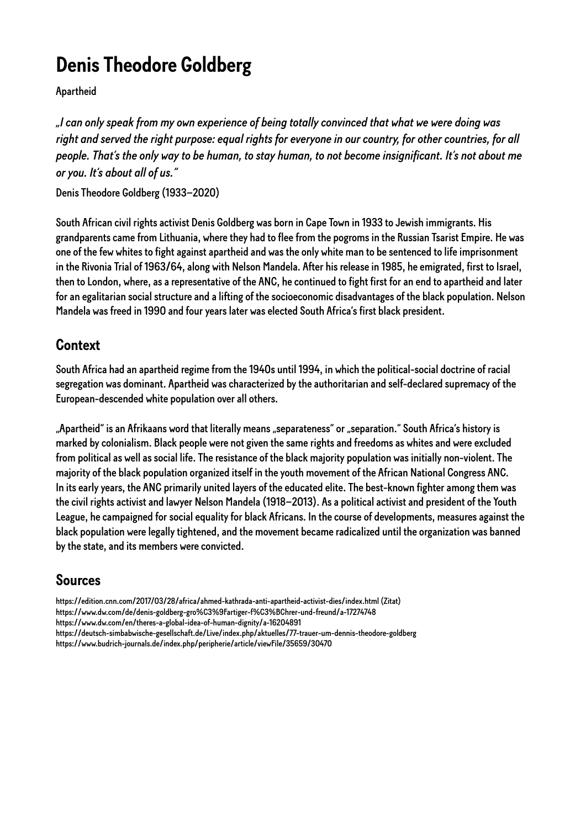# <span id="page-3-0"></span>**Denis Theodore Goldberg**

Apartheid

*"I can only speak from my own experience of being totally convinced that what we were doing was right and served the right purpose: equal rights for everyone in our country, for other countries, for all people. That's the only way to be human, to stay human, to not become insignificant. It's not about me or you. It's about all of us."* 

Denis Theodore Goldberg (1933–2020)

South African civil rights activist Denis Goldberg was born in Cape Town in 1933 to Jewish immigrants. His grandparents came from Lithuania, where they had to flee from the pogroms in the Russian Tsarist Empire. He was one of the few whites to fight against apartheid and was the only white man to be sentenced to life imprisonment in the Rivonia Trial of 1963/64, along with Nelson Mandela. After his release in 1985, he emigrated, first to Israel, then to London, where, as a representative of the ANC, he continued to fight first for an end to apartheid and later for an egalitarian social structure and a lifting of the socioeconomic disadvantages of the black population. Nelson Mandela was freed in 1990 and four years later was elected South Africa's first black president.

# **Context**

South Africa had an apartheid regime from the 1940s until 1994, in which the political-social doctrine of racial segregation was dominant. Apartheid was characterized by the authoritarian and self-declared supremacy of the European-descended white population over all others.

"Apartheid" is an Afrikaans word that literally means "separateness" or "separation." South Africa's history is marked by colonialism. Black people were not given the same rights and freedoms as whites and were excluded from political as well as social life. The resistance of the black majority population was initially non-violent. The majority of the black population organized itself in the youth movement of the African National Congress ANC. In its early years, the ANC primarily united layers of the educated elite. The best-known fighter among them was the civil rights activist and lawyer Nelson Mandela (1918–2013). As a political activist and president of the Youth League, he campaigned for social equality for black Africans. In the course of developments, measures against the black population were legally tightened, and the movement became radicalized until the organization was banned by the state, and its members were convicted.

# **Sources**

https://edition.cnn.com/2017/03/28/africa/ahmed-kathrada-anti-apartheid-activist-dies/index.html (Zitat) https://www.dw.com/de/denis-goldberg-gro%C3%9Fartiger-f%C3%BChrer-und-freund/a-17274748 https://www.dw.com/en/theres-a-global-idea-of-human-dignity/a-16204891 https://deutsch-simbabwische-gesellschaft.de/Live/index.php/aktuelles/77-trauer-um-dennis-theodore-goldberg https://www.budrich-journals.de/index.php/peripherie/article/viewFile/35659/30470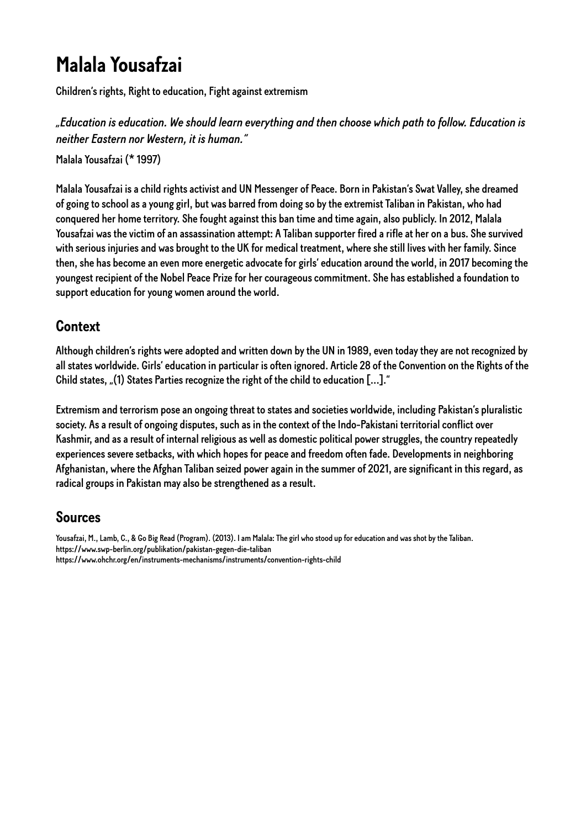# <span id="page-4-0"></span>**Malala Yousafzai**

Children's rights, Right to education, Fight against extremism

*"Education is education. We should learn everything and then choose which path to follow. Education is neither Eastern nor Western, it is human."* 

Malala Yousafzai (\* 1997)

Malala Yousafzai is a child rights activist and UN Messenger of Peace. Born in Pakistan's Swat Valley, she dreamed of going to school as a young girl, but was barred from doing so by the extremist Taliban in Pakistan, who had conquered her home territory. She fought against this ban time and time again, also publicly. In 2012, Malala Yousafzai was the victim of an assassination attempt: A Taliban supporter fired a rifle at her on a bus. She survived with serious injuries and was brought to the UK for medical treatment, where she still lives with her family. Since then, she has become an even more energetic advocate for girls' education around the world, in 2017 becoming the youngest recipient of the Nobel Peace Prize for her courageous commitment. She has established a foundation to support education for young women around the world.

### **Context**

Although children's rights were adopted and written down by the UN in 1989, even today they are not recognized by all states worldwide. Girls' education in particular is often ignored. Article 28 of the Convention on the Rights of the Child states, "(1) States Parties recognize the right of the child to education [...]."

Extremism and terrorism pose an ongoing threat to states and societies worldwide, including Pakistan's pluralistic society. As a result of ongoing disputes, such as in the context of the Indo-Pakistani territorial conflict over Kashmir, and as a result of internal religious as well as domestic political power struggles, the country repeatedly experiences severe setbacks, with which hopes for peace and freedom often fade. Developments in neighboring Afghanistan, where the Afghan Taliban seized power again in the summer of 2021, are significant in this regard, as radical groups in Pakistan may also be strengthened as a result.

# **Sources**

Yousafzai, M., Lamb, C., & Go Big Read (Program). (2013). I am Malala: The girl who stood up for education and was shot by the Taliban. https://www.swp-berlin.org/publikation/pakistan-gegen-die-taliban https://www.ohchr.org/en/instruments-mechanisms/instruments/convention-rights-child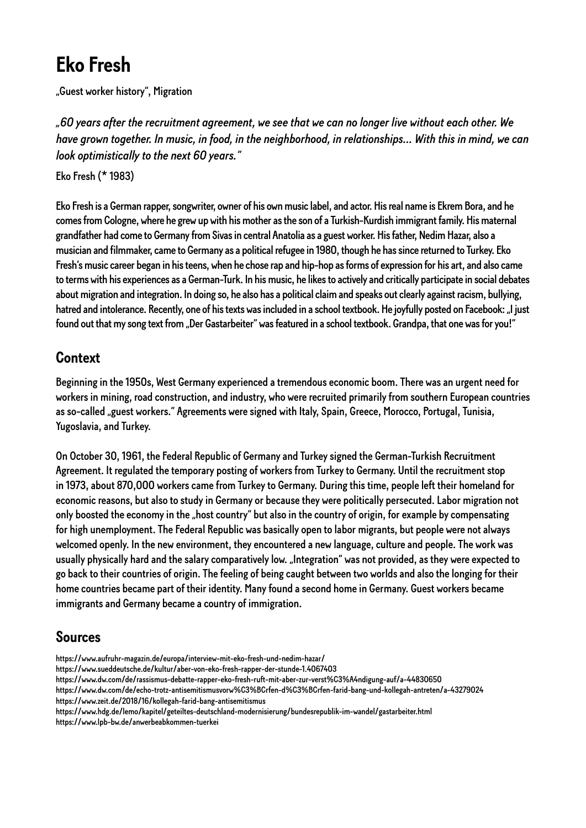# <span id="page-5-0"></span>**Eko Fresh**

"Guest worker history", Migration

*"60 years after the recruitment agreement, we see that we can no longer live without each other. We have grown together. In music, in food, in the neighborhood, in relationships... With this in mind, we can look optimistically to the next 60 years."* 

Eko Fresh (\* 1983)

Eko Fresh is a German rapper, songwriter, owner of his own music label, and actor. His real name is Ekrem Bora, and he comes from Cologne, where he grew up with his mother as the son of a Turkish-Kurdish immigrant family. His maternal grandfather had come to Germany from Sivas in central Anatolia as a guest worker. His father, Nedim Hazar, also a musician and filmmaker, came to Germany as a political refugee in 1980, though he has since returned to Turkey. Eko Fresh's music career began in his teens, when he chose rap and hip-hop as forms of expression for his art, and also came to terms with his experiences as a German-Turk. In his music, he likes to actively and critically participate in social debates about migration and integration. In doing so, he also has a political claim and speaks out clearly against racism, bullying, hatred and intolerance. Recently, one of his texts was included in a school textbook. He joyfully posted on Facebook: "I just found out that my song text from "Der Gastarbeiter" was featured in a school textbook. Grandpa, that one was for you!"

#### **Context**

Beginning in the 1950s, West Germany experienced a tremendous economic boom. There was an urgent need for workers in mining, road construction, and industry, who were recruited primarily from southern European countries as so-called "guest workers." Agreements were signed with Italy, Spain, Greece, Morocco, Portugal, Tunisia, Yugoslavia, and Turkey.

On October 30, 1961, the Federal Republic of Germany and Turkey signed the German-Turkish Recruitment Agreement. It regulated the temporary posting of workers from Turkey to Germany. Until the recruitment stop in 1973, about 870,000 workers came from Turkey to Germany. During this time, people left their homeland for economic reasons, but also to study in Germany or because they were politically persecuted. Labor migration not only boosted the economy in the "host country" but also in the country of origin, for example by compensating for high unemployment. The Federal Republic was basically open to labor migrants, but people were not always welcomed openly. In the new environment, they encountered a new language, culture and people. The work was usually physically hard and the salary comparatively low. "Integration" was not provided, as they were expected to go back to their countries of origin. The feeling of being caught between two worlds and also the longing for their home countries became part of their identity. Many found a second home in Germany. Guest workers became immigrants and Germany became a country of immigration.

# **Sources**

- https://www.aufruhr-magazin.de/europa/interview-mit-eko-fresh-und-nedim-hazar/
- https://www.sueddeutsche.de/kultur/aber-von-eko-fresh-rapper-der-stunde-1.4067403
- https://www.dw.com/de/rassismus-debatte-rapper-eko-fresh-ruft-mit-aber-zur-verst%C3%A4ndigung-auf/a-44830650

https://www.dw.com/de/echo-trotz-antisemitismusvorw%C3%BCrfen-d%C3%BCrfen-farid-bang-und-kollegah-antreten/a-43279024 https://www.zeit.de/2018/16/kollegah-farid-bang-antisemitismus

https://www.hdg.de/lemo/kapitel/geteiltes-deutschland-modernisierung/bundesrepublik-im-wandel/gastarbeiter.html https://www.lpb-bw.de/anwerbeabkommen-tuerkei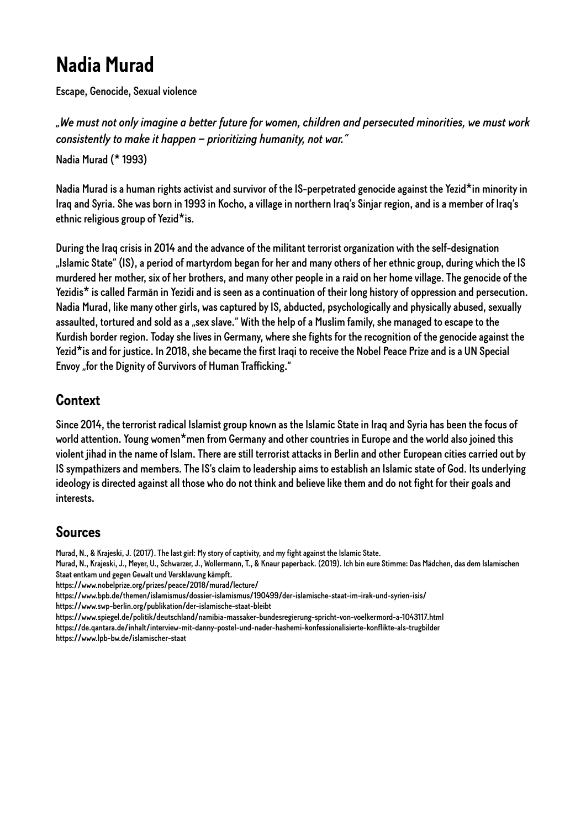# <span id="page-6-0"></span>**Nadia Murad**

Escape, Genocide, Sexual violence

*"We must not only imagine a better future for women, children and persecuted minorities, we must work consistently to make it happen – prioritizing humanity, not war."* 

Nadia Murad (\* 1993)

Nadia Murad is a human rights activist and survivor of the IS-perpetrated genocide against the Yezid\*in minority in Iraq and Syria. She was born in 1993 in Kocho, a village in northern Iraq's Sinjar region, and is a member of Iraq's ethnic religious group of Yezid\*is.

During the Iraq crisis in 2014 and the advance of the militant terrorist organization with the self-designation "Islamic State" (IS), a period of martyrdom began for her and many others of her ethnic group, during which the IS murdered her mother, six of her brothers, and many other people in a raid on her home village. The genocide of the Yezidis\* is called Farmān in Yezidi and is seen as a continuation of their long history of oppression and persecution. Nadia Murad, like many other girls, was captured by IS, abducted, psychologically and physically abused, sexually assaulted, tortured and sold as a "sex slave." With the help of a Muslim family, she managed to escape to the Kurdish border region. Today she lives in Germany, where she fights for the recognition of the genocide against the Yezid\*is and for justice. In 2018, she became the first Iraqi to receive the Nobel Peace Prize and is a UN Special Envoy "for the Dignity of Survivors of Human Trafficking."

#### **Context**

Since 2014, the terrorist radical Islamist group known as the Islamic State in Iraq and Syria has been the focus of world attention. Young women\*men from Germany and other countries in Europe and the world also joined this violent jihad in the name of Islam. There are still terrorist attacks in Berlin and other European cities carried out by IS sympathizers and members. The IS's claim to leadership aims to establish an Islamic state of God. Its underlying ideology is directed against all those who do not think and believe like them and do not fight for their goals and interests.

#### **Sources**

Murad, N., & Krajeski, J. (2017). The last girl: My story of captivity, and my fight against the Islamic State.

Murad, N., Krajeski, J., Meyer, U., Schwarzer, J., Wollermann, T., & Knaur paperback. (2019). Ich bin eure Stimme: Das Mädchen, das dem Islamischen Staat entkam und gegen Gewalt und Versklavung kämpft.

https://www.nobelprize.org/prizes/peace/2018/murad/lecture/

https://www.bpb.de/themen/islamismus/dossier-islamismus/190499/der-islamische-staat-im-irak-und-syrien-isis/ https://www.swp-berlin.org/publikation/der-islamische-staat-bleibt

https://www.spiegel.de/politik/deutschland/namibia-massaker-bundesregierung-spricht-von-voelkermord-a-1043117.html https://de.qantara.de/inhalt/interview-mit-danny-postel-und-nader-hashemi-konfessionalisierte-konflikte-als-trugbilder https://www.lpb-bw.de/islamischer-staat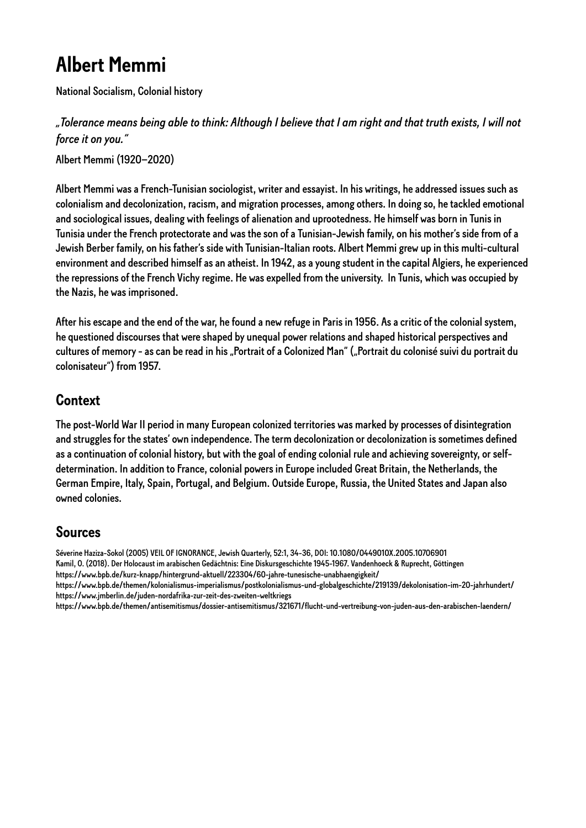# <span id="page-7-0"></span>**Albert Memmi**

National Socialism, Colonial history

*"Tolerance means being able to think: Although I believe that I am right and that truth exists, I will not force it on you."* 

Albert Memmi (1920–2020)

Albert Memmi was a French-Tunisian sociologist, writer and essayist. In his writings, he addressed issues such as colonialism and decolonization, racism, and migration processes, among others. In doing so, he tackled emotional and sociological issues, dealing with feelings of alienation and uprootedness. He himself was born in Tunis in Tunisia under the French protectorate and was the son of a Tunisian-Jewish family, on his mother's side from of a Jewish Berber family, on his father's side with Tunisian-Italian roots. Albert Memmi grew up in this multi-cultural environment and described himself as an atheist. In 1942, as a young student in the capital Algiers, he experienced the repressions of the French Vichy regime. He was expelled from the university. In Tunis, which was occupied by the Nazis, he was imprisoned.

After his escape and the end of the war, he found a new refuge in Paris in 1956. As a critic of the colonial system, he questioned discourses that were shaped by unequal power relations and shaped historical perspectives and cultures of memory - as can be read in his "Portrait of a Colonized Man" ("Portrait du colonisé suivi du portrait du colonisateur") from 1957.

#### **Context**

The post-World War II period in many European colonized territories was marked by processes of disintegration and struggles for the states' own independence. The term decolonization or decolonization is sometimes defined as a continuation of colonial history, but with the goal of ending colonial rule and achieving sovereignty, or selfdetermination. In addition to France, colonial powers in Europe included Great Britain, the Netherlands, the German Empire, Italy, Spain, Portugal, and Belgium. Outside Europe, Russia, the United States and Japan also owned colonies.

### **Sources**

Séverine Haziza-Sokol (2005) VEIL OF IGNORANCE, Jewish Quarterly, 52:1, 34-36, DOI: 10.1080/0449010X.2005.10706901

Kamil, O. (2018). Der Holocaust im arabischen Gedächtnis: Eine Diskursgeschichte 1945-1967. Vandenhoeck & Ruprecht, Göttingen https://www.bpb.de/kurz-knapp/hintergrund-aktuell/223304/60-jahre-tunesische-unabhaengigkeit/

https://www.bpb.de/themen/kolonialismus-imperialismus/postkolonialismus-und-globalgeschichte/219139/dekolonisation-im-20-jahrhundert/ https://www.jmberlin.de/juden-nordafrika-zur-zeit-des-zweiten-weltkriegs

https://www.bpb.de/themen/antisemitismus/dossier-antisemitismus/321671/flucht-und-vertreibung-von-juden-aus-den-arabischen-laendern/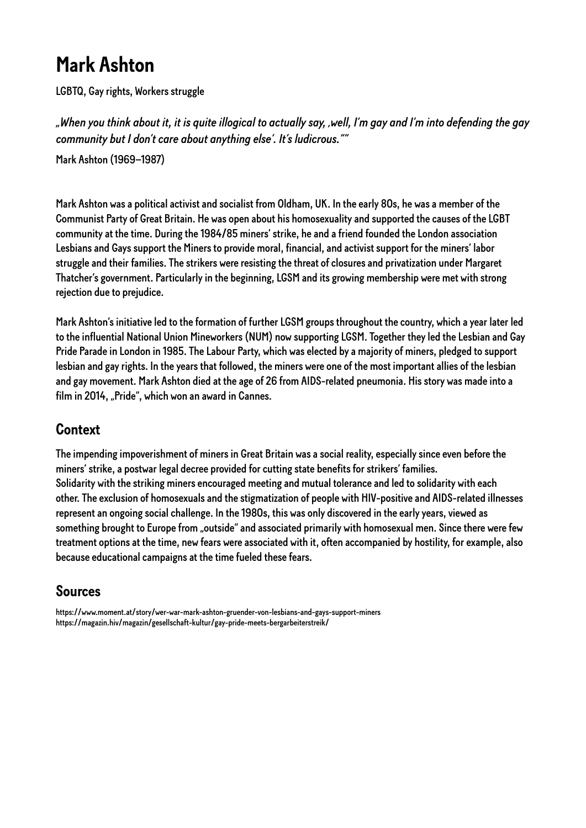# <span id="page-8-0"></span>**Mark Ashton**

LGBTQ, Gay rights, Workers struggle

*"When you think about it, it is quite illogical to actually say, 'well, I'm gay and I'm into defending the gay community but I don't care about anything else'. It's ludicrous.""* 

Mark Ashton (1969–1987)

Mark Ashton was a political activist and socialist from Oldham, UK. In the early 80s, he was a member of the Communist Party of Great Britain. He was open about his homosexuality and supported the causes of the LGBT community at the time. During the 1984/85 miners' strike, he and a friend founded the London association Lesbians and Gays support the Miners to provide moral, financial, and activist support for the miners' labor struggle and their families. The strikers were resisting the threat of closures and privatization under Margaret Thatcher's government. Particularly in the beginning, LGSM and its growing membership were met with strong rejection due to prejudice.

Mark Ashton's initiative led to the formation of further LGSM groups throughout the country, which a year later led to the influential National Union Mineworkers (NUM) now supporting LGSM. Together they led the Lesbian and Gay Pride Parade in London in 1985. The Labour Party, which was elected by a majority of miners, pledged to support lesbian and gay rights. In the years that followed, the miners were one of the most important allies of the lesbian and gay movement. Mark Ashton died at the age of 26 from AIDS-related pneumonia. His story was made into a film in 2014, "Pride", which won an award in Cannes.

### **Context**

The impending impoverishment of miners in Great Britain was a social reality, especially since even before the miners' strike, a postwar legal decree provided for cutting state benefits for strikers' families. Solidarity with the striking miners encouraged meeting and mutual tolerance and led to solidarity with each other. The exclusion of homosexuals and the stigmatization of people with HIV-positive and AIDS-related illnesses represent an ongoing social challenge. In the 1980s, this was only discovered in the early years, viewed as something brought to Europe from "outside" and associated primarily with homosexual men. Since there were few treatment options at the time, new fears were associated with it, often accompanied by hostility, for example, also because educational campaigns at the time fueled these fears.

### **Sources**

https://www.moment.at/story/wer-war-mark-ashton-gruender-von-lesbians-and-gays-support-miners https://magazin.hiv/magazin/gesellschaft-kultur/gay-pride-meets-bergarbeiterstreik/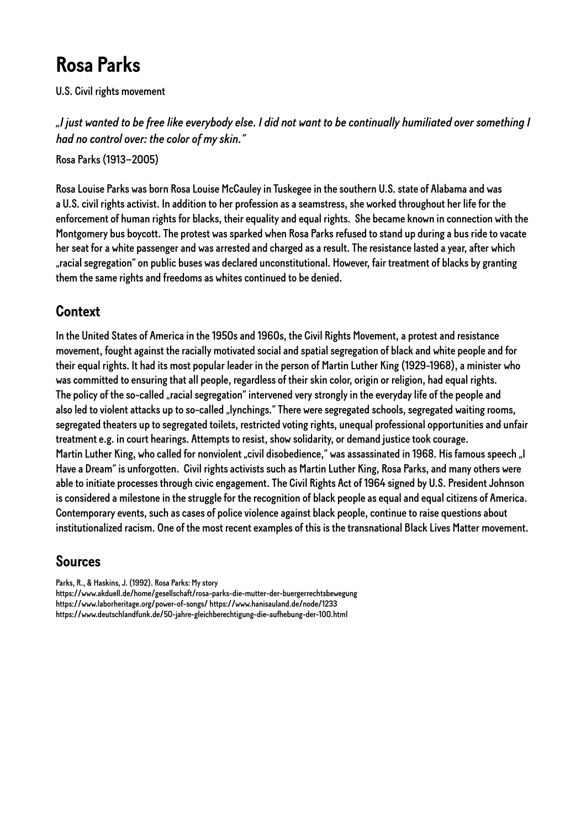# <span id="page-9-0"></span>**Rosa Parks**

U.S. Civil rights movement

*"I just wanted to be free like everybody else. I did not want to be continually humiliated over something I had no control over: the color of my skin."*

Rosa Parks (1913–2005)

Rosa Louise Parks was born Rosa Louise McCauley in Tuskegee in the southern U.S. state of Alabama and was a U.S. civil rights activist. In addition to her profession as a seamstress, she worked throughout her life for the enforcement of human rights for blacks, their equality and equal rights. She became known in connection with the Montgomery bus boycott. The protest was sparked when Rosa Parks refused to stand up during a bus ride to vacate her seat for a white passenger and was arrested and charged as a result. The resistance lasted a year, after which "racial segregation" on public buses was declared unconstitutional. However, fair treatment of blacks by granting them the same rights and freedoms as whites continued to be denied.

#### **Context**

In the United States of America in the 1950s and 1960s, the Civil Rights Movement, a protest and resistance movement, fought against the racially motivated social and spatial segregation of black and white people and for their equal rights. It had its most popular leader in the person of Martin Luther King (1929-1968), a minister who was committed to ensuring that all people, regardless of their skin color, origin or religion, had equal rights. The policy of the so-called "racial segregation" intervened very strongly in the everyday life of the people and also led to violent attacks up to so-called "lynchings." There were segregated schools, segregated waiting rooms, segregated theaters up to segregated toilets, restricted voting rights, unequal professional opportunities and unfair treatment e.g. in court hearings. Attempts to resist, show solidarity, or demand justice took courage. Martin Luther King, who called for nonviolent "civil disobedience," was assassinated in 1968. His famous speech "I Have a Dream" is unforgotten. Civil rights activists such as Martin Luther King, Rosa Parks, and many others were able to initiate processes through civic engagement. The Civil Rights Act of 1964 signed by U.S. President Johnson is considered a milestone in the struggle for the recognition of black people as equal and equal citizens of America. Contemporary events, such as cases of police violence against black people, continue to raise questions about institutionalized racism. One of the most recent examples of this is the transnational Black Lives Matter movement.

### **Sources**

Parks, R., & Haskins, J. (1992). Rosa Parks: My story https://www.akduell.de/home/gesellschaft/rosa-parks-die-mutter-der-buergerrechtsbewegung https://www.laborheritage.org/power-of-songs/ https://www.hanisauland.de/node/1233 https://www.deutschlandfunk.de/50-jahre-gleichberechtigung-die-aufhebung-der-100.html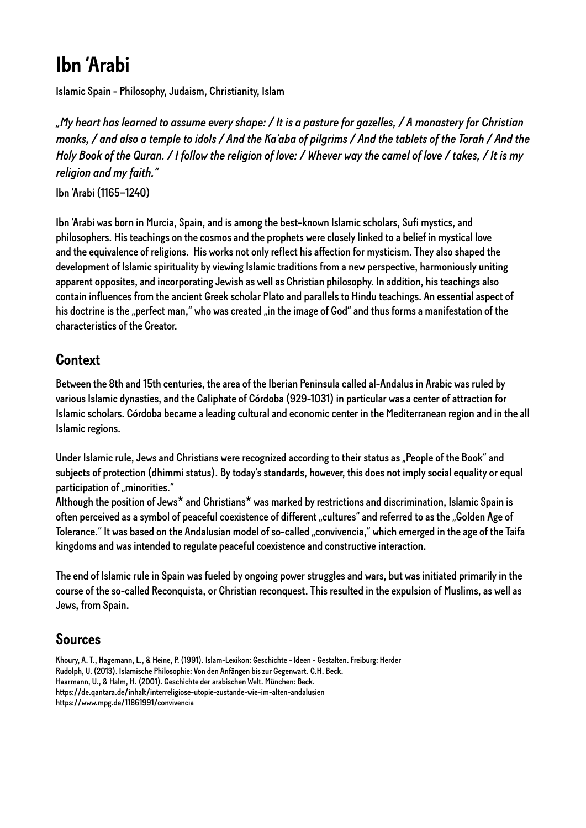# <span id="page-10-0"></span>**Ibn 'Arabi**

Islamic Spain - Philosophy, Judaism, Christianity, Islam

*"My heart has learned to assume every shape: / It is a pasture for gazelles, / A monastery for Christian monks, / and also a temple to idols / And the Ka'aba of pilgrims / And the tablets of the Torah / And the Holy Book of the Quran. / I follow the religion of love: / Whever way the camel of love / takes, / It is my religion and my faith."* 

Ibn 'Arabi (1165–1240)

Ibn 'Arabi was born in Murcia, Spain, and is among the best-known Islamic scholars, Sufi mystics, and philosophers. His teachings on the cosmos and the prophets were closely linked to a belief in mystical love and the equivalence of religions. His works not only reflect his affection for mysticism. They also shaped the development of Islamic spirituality by viewing Islamic traditions from a new perspective, harmoniously uniting apparent opposites, and incorporating Jewish as well as Christian philosophy. In addition, his teachings also contain influences from the ancient Greek scholar Plato and parallels to Hindu teachings. An essential aspect of his doctrine is the "perfect man," who was created "in the image of God" and thus forms a manifestation of the characteristics of the Creator.

### **Context**

Between the 8th and 15th centuries, the area of the Iberian Peninsula called al-Andalus in Arabic was ruled by various Islamic dynasties, and the Caliphate of Córdoba (929-1031) in particular was a center of attraction for Islamic scholars. Córdoba became a leading cultural and economic center in the Mediterranean region and in the all Islamic regions.

Under Islamic rule, Jews and Christians were recognized according to their status as "People of the Book" and subjects of protection (dhimmi status). By today's standards, however, this does not imply social equality or equal participation of "minorities."

Although the position of Jews\* and Christians\* was marked by restrictions and discrimination, Islamic Spain is often perceived as a symbol of peaceful coexistence of different "cultures" and referred to as the "Golden Age of Tolerance." It was based on the Andalusian model of so-called "convivencia," which emerged in the age of the Taifa kingdoms and was intended to regulate peaceful coexistence and constructive interaction.

The end of Islamic rule in Spain was fueled by ongoing power struggles and wars, but was initiated primarily in the course of the so-called Reconquista, or Christian reconquest. This resulted in the expulsion of Muslims, as well as Jews, from Spain.

# **Sources**

Khoury, A. T., Hagemann, L., & Heine, P. (1991). Islam-Lexikon: Geschichte - Ideen - Gestalten. Freiburg: Herder Rudolph, U. (2013). Islamische Philosophie: Von den Anfängen bis zur Gegenwart. C.H. Beck. Haarmann, U., & Halm, H. (2001). Geschichte der arabischen Welt. München: Beck. https://de.qantara.de/inhalt/interreligiose-utopie-zustande-wie-im-alten-andalusien https://www.mpg.de/11861991/convivencia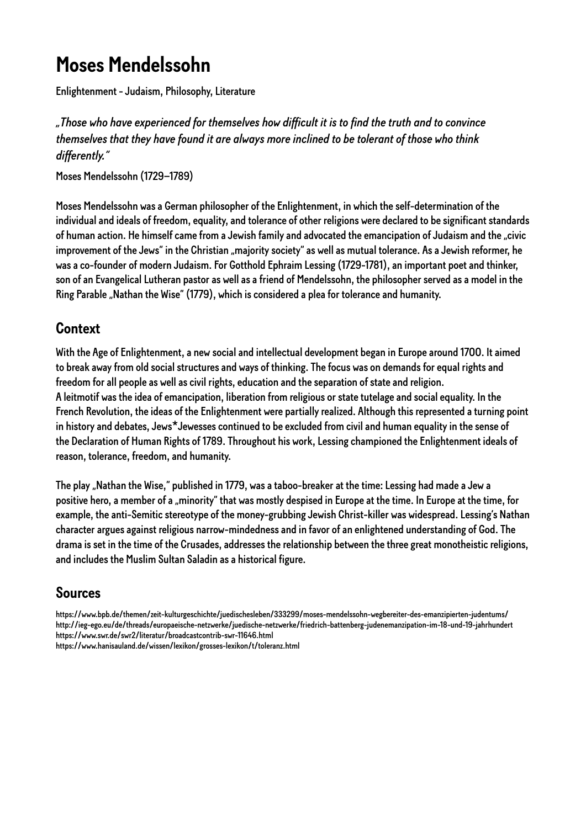# <span id="page-11-0"></span>**Moses Mendelssohn**

Enlightenment - Judaism, Philosophy, Literature

#### *"Those who have experienced for themselves how difficult it is to find the truth and to convince themselves that they have found it are always more inclined to be tolerant of those who think differently."*

Moses Mendelssohn (1729–1789)

Moses Mendelssohn was a German philosopher of the Enlightenment, in which the self-determination of the individual and ideals of freedom, equality, and tolerance of other religions were declared to be significant standards of human action. He himself came from a Jewish family and advocated the emancipation of Judaism and the "civic improvement of the Jews" in the Christian "majority society" as well as mutual tolerance. As a Jewish reformer, he was a co-founder of modern Judaism. For Gotthold Ephraim Lessing (1729-1781), an important poet and thinker, son of an Evangelical Lutheran pastor as well as a friend of Mendelssohn, the philosopher served as a model in the Ring Parable "Nathan the Wise" (1779), which is considered a plea for tolerance and humanity.

### **Context**

With the Age of Enlightenment, a new social and intellectual development began in Europe around 1700. It aimed to break away from old social structures and ways of thinking. The focus was on demands for equal rights and freedom for all people as well as civil rights, education and the separation of state and religion. A leitmotif was the idea of emancipation, liberation from religious or state tutelage and social equality. In the French Revolution, the ideas of the Enlightenment were partially realized. Although this represented a turning point in history and debates, Jews\*Jewesses continued to be excluded from civil and human equality in the sense of the Declaration of Human Rights of 1789. Throughout his work, Lessing championed the Enlightenment ideals of reason, tolerance, freedom, and humanity.

The play "Nathan the Wise," published in 1779, was a taboo-breaker at the time: Lessing had made a Jew a positive hero, a member of a "minority" that was mostly despised in Europe at the time. In Europe at the time, for example, the anti-Semitic stereotype of the money-grubbing Jewish Christ-killer was widespread. Lessing's Nathan character argues against religious narrow-mindedness and in favor of an enlightened understanding of God. The drama is set in the time of the Crusades, addresses the relationship between the three great monotheistic religions, and includes the Muslim Sultan Saladin as a historical figure.

### **Sources**

https://www.bpb.de/themen/zeit-kulturgeschichte/juedischesleben/333299/moses-mendelssohn-wegbereiter-des-emanzipierten-judentums/ http://ieg-ego.eu/de/threads/europaeische-netzwerke/juedische-netzwerke/friedrich-battenberg-judenemanzipation-im-18-und-19-jahrhundert https://www.swr.de/swr2/literatur/broadcastcontrib-swr-11646.html https://www.hanisauland.de/wissen/lexikon/grosses-lexikon/t/toleranz.html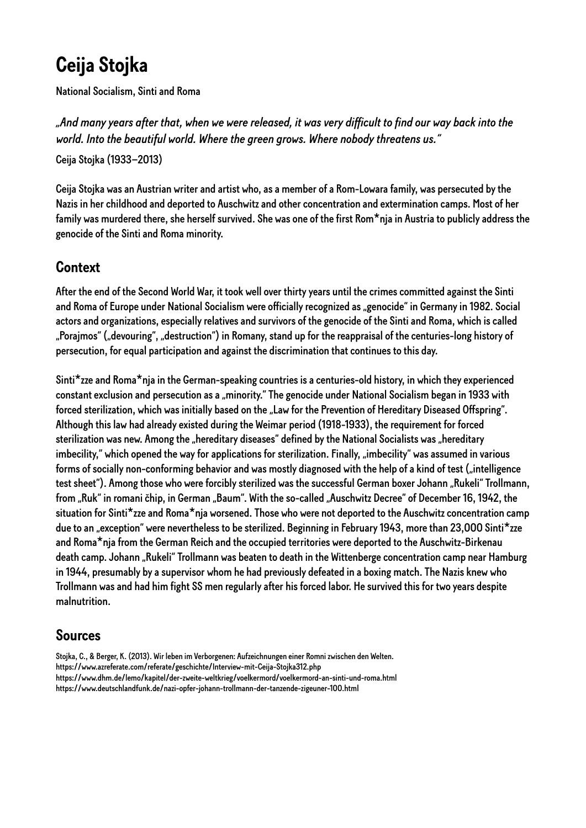# <span id="page-12-0"></span>**Ceija Stojka**

National Socialism, Sinti and Roma

*"And many years after that, when we were released, it was very difficult to find our way back into the world. Into the beautiful world. Where the green grows. Where nobody threatens us."* 

Ceija Stojka (1933–2013)

Ceija Stojka was an Austrian writer and artist who, as a member of a Rom-Lowara family, was persecuted by the Nazis in her childhood and deported to Auschwitz and other concentration and extermination camps. Most of her family was murdered there, she herself survived. She was one of the first Rom\*nja in Austria to publicly address the genocide of the Sinti and Roma minority.

### **Context**

After the end of the Second World War, it took well over thirty years until the crimes committed against the Sinti and Roma of Europe under National Socialism were officially recognized as "genocide" in Germany in 1982. Social actors and organizations, especially relatives and survivors of the genocide of the Sinti and Roma, which is called "Porajmos" ("devouring", "destruction") in Romany, stand up for the reappraisal of the centuries-long history of persecution, for equal participation and against the discrimination that continues to this day.

Sinti\*zze and Roma\*nja in the German-speaking countries is a centuries-old history, in which they experienced constant exclusion and persecution as a "minority." The genocide under National Socialism began in 1933 with forced sterilization, which was initially based on the "Law for the Prevention of Hereditary Diseased Offspring". Although this law had already existed during the Weimar period (1918-1933), the requirement for forced sterilization was new. Among the "hereditary diseases" defined by the National Socialists was "hereditary imbecility," which opened the way for applications for sterilization. Finally, "imbecility" was assumed in various forms of socially non-conforming behavior and was mostly diagnosed with the help of a kind of test ("intelligence test sheet"). Among those who were forcibly sterilized was the successful German boxer Johann "Rukeli" Trollmann, from "Ruk" in romani čhip, in German "Baum". With the so-called "Auschwitz Decree" of December 16, 1942, the situation for Sinti\*zze and Roma\*nja worsened. Those who were not deported to the Auschwitz concentration camp due to an "exception" were nevertheless to be sterilized. Beginning in February 1943, more than 23,000 Sinti\*zze and Roma\*nja from the German Reich and the occupied territories were deported to the Auschwitz-Birkenau death camp. Johann "Rukeli" Trollmann was beaten to death in the Wittenberge concentration camp near Hamburg in 1944, presumably by a supervisor whom he had previously defeated in a boxing match. The Nazis knew who Trollmann was and had him fight SS men regularly after his forced labor. He survived this for two years despite malnutrition.

### **Sources**

Stojka, C., & Berger, K. (2013). Wir leben im Verborgenen: Aufzeichnungen einer Romni zwischen den Welten. https://www.azreferate.com/referate/geschichte/Interview-mit-Ceija-Stojka312.php https://www.dhm.de/lemo/kapitel/der-zweite-weltkrieg/voelkermord/voelkermord-an-sinti-und-roma.html https://www.deutschlandfunk.de/nazi-opfer-johann-trollmann-der-tanzende-zigeuner-100.html